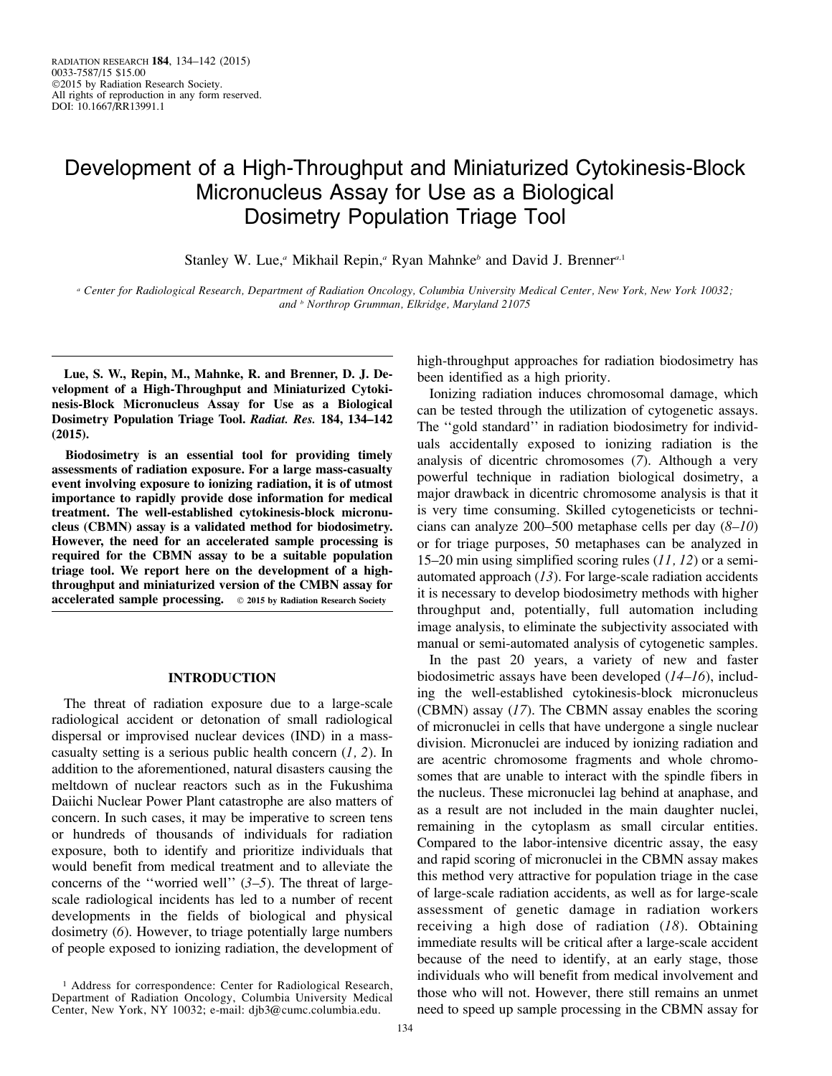# Development of a High-Throughput and Miniaturized Cytokinesis-Block Micronucleus Assay for Use as a Biological Dosimetry Population Triage Tool

Stanley W. Lue,<sup>a</sup> Mikhail Repin,<sup>a</sup> Ryan Mahnke<sup>b</sup> and David J. Brenner<sup>a,1</sup>

<sup>a</sup> Center for Radiological Research, Department of Radiation Oncology, Columbia University Medical Center, New York, New York 10032; and <sup>b</sup> Northrop Grumman, Elkridge, Maryland 21075

Lue, S. W., Repin, M., Mahnke, R. and Brenner, D. J. Development of a High-Throughput and Miniaturized Cytokinesis-Block Micronucleus Assay for Use as a Biological Dosimetry Population Triage Tool. Radiat. Res. 184, 134–142 (2015).

Biodosimetry is an essential tool for providing timely assessments of radiation exposure. For a large mass-casualty event involving exposure to ionizing radiation, it is of utmost importance to rapidly provide dose information for medical treatment. The well-established cytokinesis-block micronucleus (CBMN) assay is a validated method for biodosimetry. However, the need for an accelerated sample processing is required for the CBMN assay to be a suitable population triage tool. We report here on the development of a highthroughput and miniaturized version of the CMBN assay for accelerated sample processing.  $\circ$  2015 by Radiation Research Society

## INTRODUCTION

The threat of radiation exposure due to a large-scale radiological accident or detonation of small radiological dispersal or improvised nuclear devices (IND) in a masscasualty setting is a serious public health concern  $(1, 2)$ . In addition to the aforementioned, natural disasters causing the meltdown of nuclear reactors such as in the Fukushima Daiichi Nuclear Power Plant catastrophe are also matters of concern. In such cases, it may be imperative to screen tens or hundreds of thousands of individuals for radiation exposure, both to identify and prioritize individuals that would benefit from medical treatment and to alleviate the concerns of the "worried well"  $(3-5)$ . The threat of largescale radiological incidents has led to a number of recent developments in the fields of biological and physical dosimetry (6). However, to triage potentially large numbers of people exposed to ionizing radiation, the development of

high-throughput approaches for radiation biodosimetry has been identified as a high priority.

Ionizing radiation induces chromosomal damage, which can be tested through the utilization of cytogenetic assays. The ''gold standard'' in radiation biodosimetry for individuals accidentally exposed to ionizing radiation is the analysis of dicentric chromosomes (7). Although a very powerful technique in radiation biological dosimetry, a major drawback in dicentric chromosome analysis is that it is very time consuming. Skilled cytogeneticists or technicians can analyze 200–500 metaphase cells per day  $(8-10)$ or for triage purposes, 50 metaphases can be analyzed in 15–20 min using simplified scoring rules  $(11, 12)$  or a semiautomated approach  $(13)$ . For large-scale radiation accidents it is necessary to develop biodosimetry methods with higher throughput and, potentially, full automation including image analysis, to eliminate the subjectivity associated with manual or semi-automated analysis of cytogenetic samples.

In the past 20 years, a variety of new and faster biodosimetric assays have been developed (14–16), including the well-established cytokinesis-block micronucleus (CBMN) assay (17). The CBMN assay enables the scoring of micronuclei in cells that have undergone a single nuclear division. Micronuclei are induced by ionizing radiation and are acentric chromosome fragments and whole chromosomes that are unable to interact with the spindle fibers in the nucleus. These micronuclei lag behind at anaphase, and as a result are not included in the main daughter nuclei, remaining in the cytoplasm as small circular entities. Compared to the labor-intensive dicentric assay, the easy and rapid scoring of micronuclei in the CBMN assay makes this method very attractive for population triage in the case of large-scale radiation accidents, as well as for large-scale assessment of genetic damage in radiation workers receiving a high dose of radiation  $(18)$ . Obtaining immediate results will be critical after a large-scale accident because of the need to identify, at an early stage, those individuals who will benefit from medical involvement and those who will not. However, there still remains an unmet need to speed up sample processing in the CBMN assay for

<sup>&</sup>lt;sup>1</sup> Address for correspondence: Center for Radiological Research, Department of Radiation Oncology, Columbia University Medical Center, New York, NY 10032; e-mail: djb3@cumc.columbia.edu.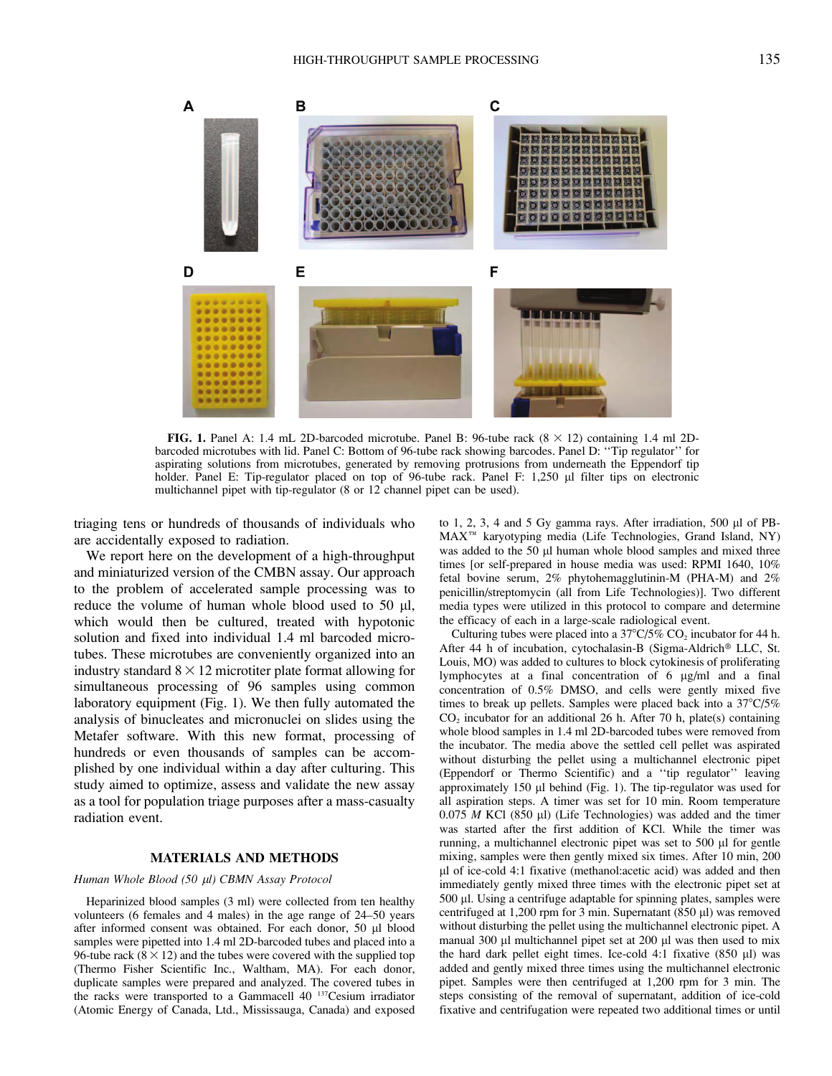

FIG. 1. Panel A: 1.4 mL 2D-barcoded microtube. Panel B: 96-tube rack  $(8 \times 12)$  containing 1.4 ml 2Dbarcoded microtubes with lid. Panel C: Bottom of 96-tube rack showing barcodes. Panel D: ''Tip regulator'' for aspirating solutions from microtubes, generated by removing protrusions from underneath the Eppendorf tip holder. Panel E: Tip-regulator placed on top of 96-tube rack. Panel F: 1,250 µl filter tips on electronic multichannel pipet with tip-regulator (8 or 12 channel pipet can be used).

triaging tens or hundreds of thousands of individuals who are accidentally exposed to radiation.

We report here on the development of a high-throughput and miniaturized version of the CMBN assay. Our approach to the problem of accelerated sample processing was to reduce the volume of human whole blood used to 50  $\mu$ l, which would then be cultured, treated with hypotonic solution and fixed into individual 1.4 ml barcoded microtubes. These microtubes are conveniently organized into an industry standard  $8 \times 12$  microtiter plate format allowing for simultaneous processing of 96 samples using common laboratory equipment (Fig. 1). We then fully automated the analysis of binucleates and micronuclei on slides using the Metafer software. With this new format, processing of hundreds or even thousands of samples can be accomplished by one individual within a day after culturing. This study aimed to optimize, assess and validate the new assay as a tool for population triage purposes after a mass-casualty radiation event.

# MATERIALS AND METHODS

## Human Whole Blood (50 µl) CBMN Assay Protocol

Heparinized blood samples (3 ml) were collected from ten healthy volunteers (6 females and 4 males) in the age range of 24–50 years after informed consent was obtained. For each donor, 50 µl blood samples were pipetted into 1.4 ml 2D-barcoded tubes and placed into a 96-tube rack ( $8 \times 12$ ) and the tubes were covered with the supplied top (Thermo Fisher Scientific Inc., Waltham, MA). For each donor, duplicate samples were prepared and analyzed. The covered tubes in the racks were transported to a Gammacell 40 137Cesium irradiator (Atomic Energy of Canada, Ltd., Mississauga, Canada) and exposed

to  $1, 2, 3, 4$  and  $5$  Gy gamma rays. After irradiation,  $500 \mu l$  of PB-MAX<sup>TM</sup> karyotyping media (Life Technologies, Grand Island, NY) was added to the 50 µl human whole blood samples and mixed three times [or self-prepared in house media was used: RPMI 1640, 10% fetal bovine serum, 2% phytohemagglutinin-M (PHA-M) and 2% penicillin/streptomycin (all from Life Technologies)]. Two different media types were utilized in this protocol to compare and determine the efficacy of each in a large-scale radiological event.

Culturing tubes were placed into a  $37^{\circ}C/5\%$  CO<sub>2</sub> incubator for 44 h. After 44 h of incubation, cytochalasin-B (Sigma-Aldrich® LLC, St. Louis, MO) was added to cultures to block cytokinesis of proliferating lymphocytes at a final concentration of 6 µg/ml and a final concentration of 0.5% DMSO, and cells were gently mixed five times to break up pellets. Samples were placed back into a  $37^{\circ}C/5\%$  $CO<sub>2</sub>$  incubator for an additional 26 h. After 70 h, plate(s) containing whole blood samples in 1.4 ml 2D-barcoded tubes were removed from the incubator. The media above the settled cell pellet was aspirated without disturbing the pellet using a multichannel electronic pipet (Eppendorf or Thermo Scientific) and a ''tip regulator'' leaving approximately 150 µl behind (Fig. 1). The tip-regulator was used for all aspiration steps. A timer was set for 10 min. Room temperature  $0.075$  M KCl (850 µl) (Life Technologies) was added and the timer was started after the first addition of KCl. While the timer was running, a multichannel electronic pipet was set to  $500 \mu l$  for gentle mixing, samples were then gently mixed six times. After 10 min, 200 ll of ice-cold 4:1 fixative (methanol:acetic acid) was added and then immediately gently mixed three times with the electronic pipet set at 500 ll. Using a centrifuge adaptable for spinning plates, samples were centrifuged at 1,200 rpm for 3 min. Supernatant (850  $\mu$ l) was removed without disturbing the pellet using the multichannel electronic pipet. A manual 300 µl multichannel pipet set at 200 µl was then used to mix the hard dark pellet eight times. Ice-cold  $4:1$  fixative  $(850 \text{ µl})$  was added and gently mixed three times using the multichannel electronic pipet. Samples were then centrifuged at 1,200 rpm for 3 min. The steps consisting of the removal of supernatant, addition of ice-cold fixative and centrifugation were repeated two additional times or until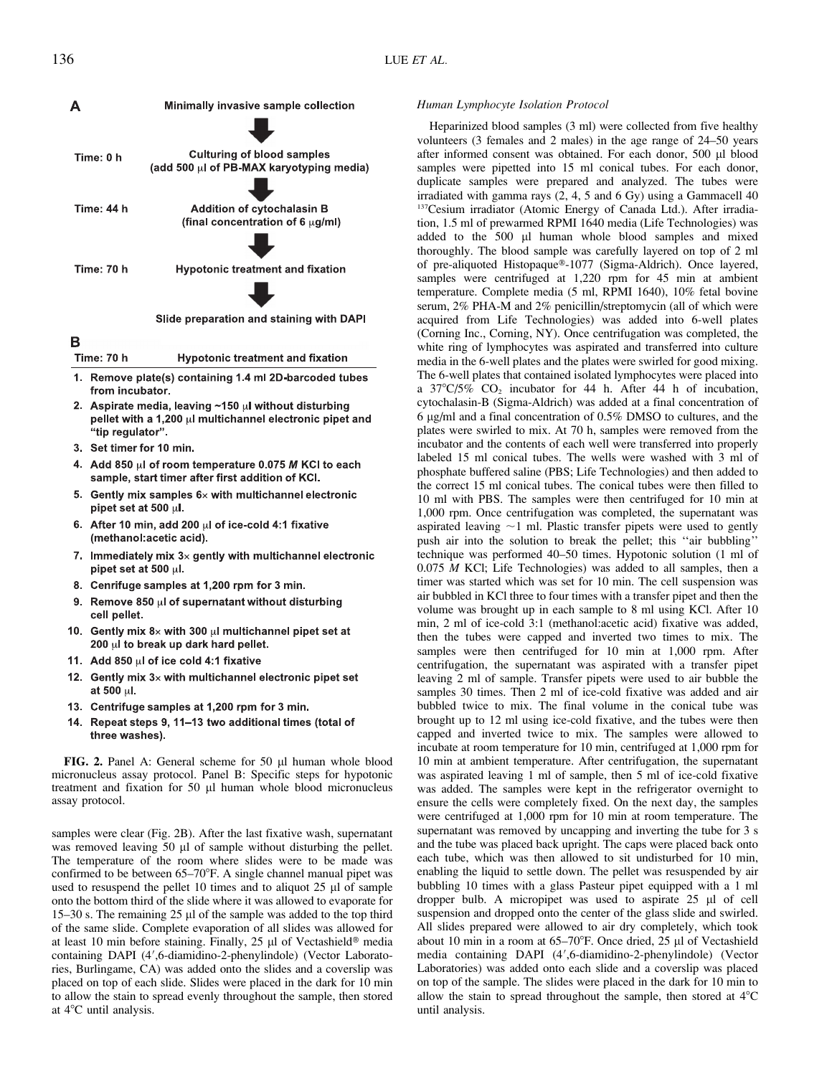

Slide preparation and staining with DAPI

- B **Time: 70 h Hypotonic treatment and fixation**
- 1. Remove plate(s) containing 1.4 ml 2D-barcoded tubes from incubator.
- 2. Aspirate media, leaving ~150 ul without disturbing pellet with a 1,200 ul multichannel electronic pipet and "tip regulator".
- 3. Set timer for 10 min.
- 4. Add 850 µl of room temperature 0.075 M KCl to each sample, start timer after first addition of KCI.
- 5. Gently mix samples  $6\times$  with multichannel electronic pipet set at 500 µl.
- 6. After 10 min, add 200 ul of ice-cold 4:1 fixative (methanol:acetic acid).
- 7. Immediately mix  $3 \times$  gently with multichannel electronic pipet set at 500  $\mu$ l.
- 8. Cenrifuge samples at 1,200 rpm for 3 min.
- 9. Remove 850 ul of supernatant without disturbing cell pellet.
- Gently mix  $8\times$  with 300  $\mu$ I multichannel pipet set at  $10<sub>1</sub>$ 200 µl to break up dark hard pellet.
- 11. Add 850 ul of ice cold 4:1 fixative
- 12. Gently mix 3x with multichannel electronic pipet set at 500 ul.
- 13. Centrifuge samples at 1,200 rpm for 3 min.
- 14. Repeat steps 9, 11-13 two additional times (total of three washes).

FIG. 2. Panel A: General scheme for 50 µl human whole blood micronucleus assay protocol. Panel B: Specific steps for hypotonic treatment and fixation for 50 µl human whole blood micronucleus assay protocol.

samples were clear (Fig. 2B). After the last fixative wash, supernatant was removed leaving 50 µl of sample without disturbing the pellet. The temperature of the room where slides were to be made was confirmed to be between 65–70°F. A single channel manual pipet was used to resuspend the pellet 10 times and to aliquot  $25 \mu$ l of sample onto the bottom third of the slide where it was allowed to evaporate for 15–30 s. The remaining  $25 \mu$  of the sample was added to the top third of the same slide. Complete evaporation of all slides was allowed for at least 10 min before staining. Finally,  $25 \mu$ l of Vectashield<sup>®</sup> media containing DAPI (4',6-diamidino-2-phenylindole) (Vector Laboratories, Burlingame, CA) was added onto the slides and a coverslip was placed on top of each slide. Slides were placed in the dark for 10 min to allow the stain to spread evenly throughout the sample, then stored at  $4^{\circ}$ C until analysis.

# Human Lymphocyte Isolation Protocol

Heparinized blood samples (3 ml) were collected from five healthy volunteers (3 females and 2 males) in the age range of 24–50 years after informed consent was obtained. For each donor, 500 µl blood samples were pipetted into 15 ml conical tubes. For each donor, duplicate samples were prepared and analyzed. The tubes were irradiated with gamma rays (2, 4, 5 and 6 Gy) using a Gammacell 40 <sup>137</sup>Cesium irradiator (Atomic Energy of Canada Ltd.). After irradiation, 1.5 ml of prewarmed RPMI 1640 media (Life Technologies) was added to the 500 µl human whole blood samples and mixed thoroughly. The blood sample was carefully layered on top of 2 ml of pre-aliquoted Histopaque®-1077 (Sigma-Aldrich). Once layered, samples were centrifuged at 1,220 rpm for 45 min at ambient temperature. Complete media (5 ml, RPMI 1640), 10% fetal bovine serum, 2% PHA-M and 2% penicillin/streptomycin (all of which were acquired from Life Technologies) was added into 6-well plates (Corning Inc., Corning, NY). Once centrifugation was completed, the white ring of lymphocytes was aspirated and transferred into culture media in the 6-well plates and the plates were swirled for good mixing. The 6-well plates that contained isolated lymphocytes were placed into a  $37^{\circ}C/5\%$  CO<sub>2</sub> incubator for 44 h. After 44 h of incubation, cytochalasin-B (Sigma-Aldrich) was added at a final concentration of 6 lg/ml and a final concentration of 0.5% DMSO to cultures, and the plates were swirled to mix. At 70 h, samples were removed from the incubator and the contents of each well were transferred into properly labeled 15 ml conical tubes. The wells were washed with 3 ml of phosphate buffered saline (PBS; Life Technologies) and then added to the correct 15 ml conical tubes. The conical tubes were then filled to 10 ml with PBS. The samples were then centrifuged for 10 min at 1,000 rpm. Once centrifugation was completed, the supernatant was aspirated leaving  $\sim$ 1 ml. Plastic transfer pipets were used to gently push air into the solution to break the pellet; this ''air bubbling'' technique was performed 40–50 times. Hypotonic solution (1 ml of 0.075 M KCl; Life Technologies) was added to all samples, then a timer was started which was set for 10 min. The cell suspension was air bubbled in KCl three to four times with a transfer pipet and then the volume was brought up in each sample to 8 ml using KCl. After 10 min, 2 ml of ice-cold 3:1 (methanol:acetic acid) fixative was added, then the tubes were capped and inverted two times to mix. The samples were then centrifuged for 10 min at 1,000 rpm. After centrifugation, the supernatant was aspirated with a transfer pipet leaving 2 ml of sample. Transfer pipets were used to air bubble the samples 30 times. Then 2 ml of ice-cold fixative was added and air bubbled twice to mix. The final volume in the conical tube was brought up to 12 ml using ice-cold fixative, and the tubes were then capped and inverted twice to mix. The samples were allowed to incubate at room temperature for 10 min, centrifuged at 1,000 rpm for 10 min at ambient temperature. After centrifugation, the supernatant was aspirated leaving 1 ml of sample, then 5 ml of ice-cold fixative was added. The samples were kept in the refrigerator overnight to ensure the cells were completely fixed. On the next day, the samples were centrifuged at 1,000 rpm for 10 min at room temperature. The supernatant was removed by uncapping and inverting the tube for 3 s and the tube was placed back upright. The caps were placed back onto each tube, which was then allowed to sit undisturbed for 10 min, enabling the liquid to settle down. The pellet was resuspended by air bubbling 10 times with a glass Pasteur pipet equipped with a 1 ml dropper bulb. A micropipet was used to aspirate 25 µl of cell suspension and dropped onto the center of the glass slide and swirled. All slides prepared were allowed to air dry completely, which took about 10 min in a room at  $65-70^{\circ}$ F. Once dried, 25 µl of Vectashield media containing DAPI (4',6-diamidino-2-phenylindole) (Vector Laboratories) was added onto each slide and a coverslip was placed on top of the sample. The slides were placed in the dark for 10 min to allow the stain to spread throughout the sample, then stored at  $4^{\circ}$ C until analysis.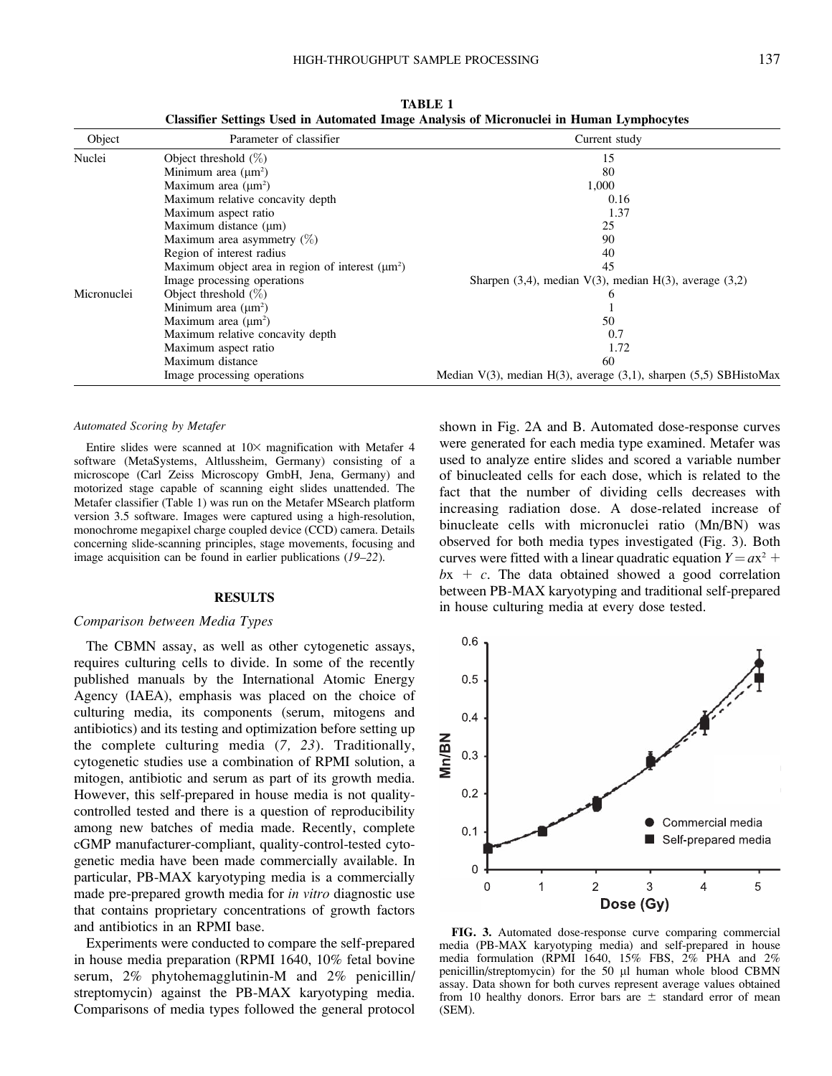| Object      | Parameter of classifier                               | Current study                                                                |
|-------------|-------------------------------------------------------|------------------------------------------------------------------------------|
| Nuclei      | Object threshold $(\%)$                               | 15                                                                           |
|             | Minimum area $(\mu m^2)$                              | 80                                                                           |
|             | Maximum area $(\mu m^2)$                              | 1,000                                                                        |
|             | Maximum relative concavity depth                      | 0.16                                                                         |
|             | Maximum aspect ratio                                  | 1.37                                                                         |
|             | Maximum distance $(\mu m)$                            | 25                                                                           |
|             | Maximum area asymmetry $(\%)$                         | 90                                                                           |
|             | Region of interest radius                             | 40                                                                           |
|             | Maximum object area in region of interest $(\mu m^2)$ | 45                                                                           |
|             | Image processing operations                           | Sharpen $(3,4)$ , median $V(3)$ , median $H(3)$ , average $(3,2)$            |
| Micronuclei | Object threshold $(\%)$                               | h                                                                            |
|             | Minimum area $(\mu m^2)$                              |                                                                              |
|             | Maximum area $(\mu m^2)$                              | 50                                                                           |
|             | Maximum relative concavity depth                      | 0.7                                                                          |
|             | Maximum aspect ratio                                  | 1.72                                                                         |
|             | Maximum distance                                      | 60                                                                           |
|             | Image processing operations                           | Median $V(3)$ , median $H(3)$ , average $(3,1)$ , sharpen $(5,5)$ SBHistoMax |

TABLE 1 Classifier Settings Used in Automated Image Analysis of Micronuclei in Human Lymphocytes

#### Automated Scoring by Metafer

Entire slides were scanned at  $10\times$  magnification with Metafer 4 software (MetaSystems, Altlussheim, Germany) consisting of a microscope (Carl Zeiss Microscopy GmbH, Jena, Germany) and motorized stage capable of scanning eight slides unattended. The Metafer classifier (Table 1) was run on the Metafer MSearch platform version 3.5 software. Images were captured using a high-resolution, monochrome megapixel charge coupled device (CCD) camera. Details concerning slide-scanning principles, stage movements, focusing and image acquisition can be found in earlier publications (19–22).

#### RESULTS

#### Comparison between Media Types

The CBMN assay, as well as other cytogenetic assays, requires culturing cells to divide. In some of the recently published manuals by the International Atomic Energy Agency (IAEA), emphasis was placed on the choice of culturing media, its components (serum, mitogens and antibiotics) and its testing and optimization before setting up the complete culturing media (7, 23). Traditionally, cytogenetic studies use a combination of RPMI solution, a mitogen, antibiotic and serum as part of its growth media. However, this self-prepared in house media is not qualitycontrolled tested and there is a question of reproducibility among new batches of media made. Recently, complete cGMP manufacturer-compliant, quality-control-tested cytogenetic media have been made commercially available. In particular, PB-MAX karyotyping media is a commercially made pre-prepared growth media for in vitro diagnostic use that contains proprietary concentrations of growth factors and antibiotics in an RPMI base.

Experiments were conducted to compare the self-prepared in house media preparation (RPMI 1640, 10% fetal bovine serum, 2% phytohemagglutinin-M and 2% penicillin/ streptomycin) against the PB-MAX karyotyping media. Comparisons of media types followed the general protocol

shown in Fig. 2A and B. Automated dose-response curves were generated for each media type examined. Metafer was used to analyze entire slides and scored a variable number of binucleated cells for each dose, which is related to the fact that the number of dividing cells decreases with increasing radiation dose. A dose-related increase of binucleate cells with micronuclei ratio (Mn/BN) was observed for both media types investigated (Fig. 3). Both curves were fitted with a linear quadratic equation  $Y = ax^2 + b$  $bx + c$ . The data obtained showed a good correlation between PB-MAX karyotyping and traditional self-prepared in house culturing media at every dose tested.



FIG. 3. Automated dose-response curve comparing commercial media (PB-MAX karyotyping media) and self-prepared in house media formulation (RPMI 1640, 15% FBS, 2% PHA and 2% penicillin/streptomycin) for the 50 µl human whole blood CBMN assay. Data shown for both curves represent average values obtained from 10 healthy donors. Error bars are  $\pm$  standard error of mean (SEM).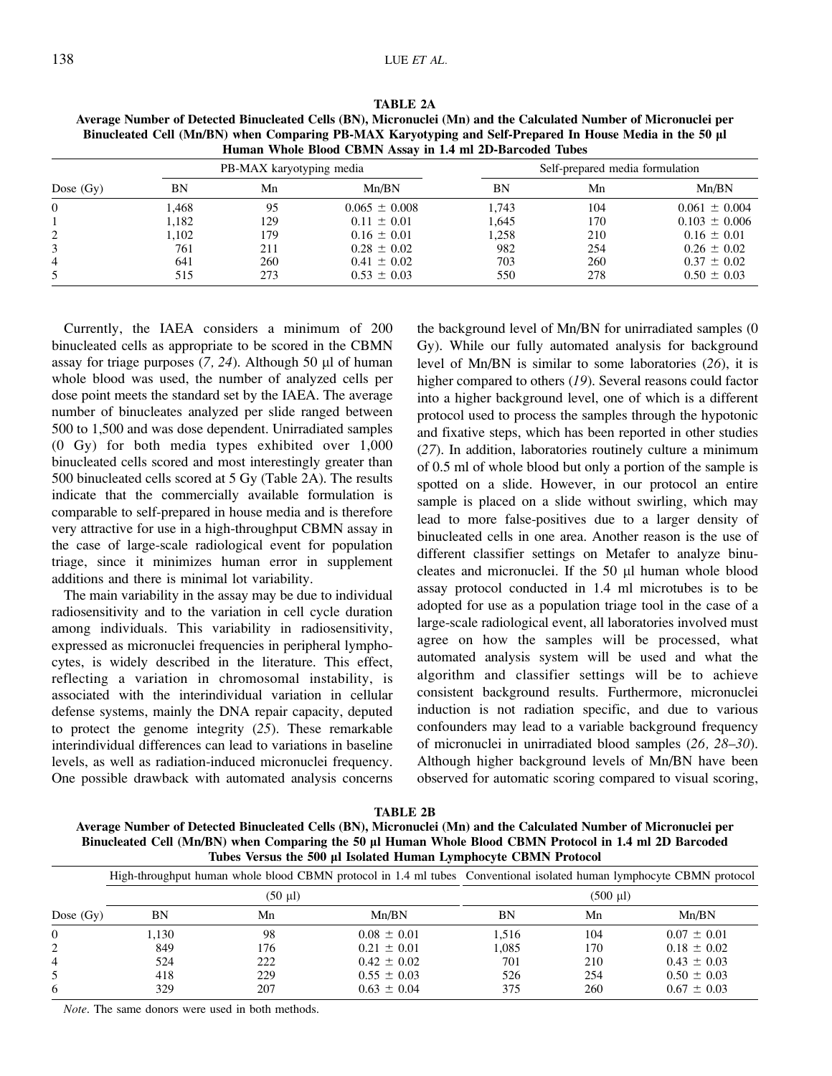| ۰.<br>۰,<br>v<br>×<br>v |  |
|-------------------------|--|
|-------------------------|--|

| $P_{\text{max}}$ $P_{\text{max}}$ $P_{\text{max}}$ $P_{\text{max}}$ $P_{\text{max}}$ $P_{\text{max}}$ $P_{\text{max}}$ $P_{\text{max}}$ $P_{\text{max}}$ $P_{\text{max}}$ $P_{\text{max}}$ $P_{\text{max}}$ $P_{\text{max}}$ $P_{\text{max}}$ $P_{\text{max}}$ $P_{\text{max}}$ $P_{\text{max}}$ $P_{\text{max}}$ $P_{\text{max}}$ $P_{\text{max}}$ $P_{\text{max}}$ $P_{\text{max}}$<br>Human Whole Blood CBMN Assay in 1.4 ml 2D-Barcoded Tubes |                          |     |                   |                                 |     |                   |  |  |
|---------------------------------------------------------------------------------------------------------------------------------------------------------------------------------------------------------------------------------------------------------------------------------------------------------------------------------------------------------------------------------------------------------------------------------------------------|--------------------------|-----|-------------------|---------------------------------|-----|-------------------|--|--|
| Dose $(Gy)$                                                                                                                                                                                                                                                                                                                                                                                                                                       | PB-MAX karyotyping media |     |                   | Self-prepared media formulation |     |                   |  |  |
|                                                                                                                                                                                                                                                                                                                                                                                                                                                   | BN                       | Mn  | Mn/BN             | ΒN                              | Mn  | Mn/BN             |  |  |
| 0                                                                                                                                                                                                                                                                                                                                                                                                                                                 | 1.468                    | 95  | $0.065 \pm 0.008$ | 1.743                           | 104 | $0.061 \pm 0.004$ |  |  |
|                                                                                                                                                                                                                                                                                                                                                                                                                                                   | 1.182                    | 129 | $0.11 \pm 0.01$   | 1.645                           | 170 | $0.103 \pm 0.006$ |  |  |
| $\overline{2}$                                                                                                                                                                                                                                                                                                                                                                                                                                    | 1,102                    | 179 | $0.16 \pm 0.01$   | 1,258                           | 210 | $0.16 \pm 0.01$   |  |  |
|                                                                                                                                                                                                                                                                                                                                                                                                                                                   | 761                      | 211 | $0.28 \pm 0.02$   | 982                             | 254 | $0.26 \pm 0.02$   |  |  |
|                                                                                                                                                                                                                                                                                                                                                                                                                                                   | 641                      | 260 | $0.41 \pm 0.02$   | 703                             | 260 | $0.37 \pm 0.02$   |  |  |
|                                                                                                                                                                                                                                                                                                                                                                                                                                                   | 515                      | 273 | $0.53 \pm 0.03$   | 550                             | 278 | $0.50 \pm 0.03$   |  |  |

TABLE 2A

Average Number of Detected Binucleated Cells (BN), Micronuclei (Mn) and the Calculated Number of Micronuclei per Binucleated Cell (Mn/BN) when Comparing PB-MAX Karyotyping and Self-Prepared In House Media in the 50 ll

Currently, the IAEA considers a minimum of 200 binucleated cells as appropriate to be scored in the CBMN assay for triage purposes  $(7, 24)$ . Although 50 µl of human whole blood was used, the number of analyzed cells per dose point meets the standard set by the IAEA. The average number of binucleates analyzed per slide ranged between 500 to 1,500 and was dose dependent. Unirradiated samples (0 Gy) for both media types exhibited over 1,000 binucleated cells scored and most interestingly greater than 500 binucleated cells scored at 5 Gy (Table 2A). The results indicate that the commercially available formulation is comparable to self-prepared in house media and is therefore very attractive for use in a high-throughput CBMN assay in the case of large-scale radiological event for population triage, since it minimizes human error in supplement additions and there is minimal lot variability.

The main variability in the assay may be due to individual radiosensitivity and to the variation in cell cycle duration among individuals. This variability in radiosensitivity, expressed as micronuclei frequencies in peripheral lymphocytes, is widely described in the literature. This effect, reflecting a variation in chromosomal instability, is associated with the interindividual variation in cellular defense systems, mainly the DNA repair capacity, deputed to protect the genome integrity (25). These remarkable interindividual differences can lead to variations in baseline levels, as well as radiation-induced micronuclei frequency. One possible drawback with automated analysis concerns the background level of Mn/BN for unirradiated samples (0 Gy). While our fully automated analysis for background level of Mn/BN is similar to some laboratories (26), it is higher compared to others (19). Several reasons could factor into a higher background level, one of which is a different protocol used to process the samples through the hypotonic and fixative steps, which has been reported in other studies (27). In addition, laboratories routinely culture a minimum of 0.5 ml of whole blood but only a portion of the sample is spotted on a slide. However, in our protocol an entire sample is placed on a slide without swirling, which may lead to more false-positives due to a larger density of binucleated cells in one area. Another reason is the use of different classifier settings on Metafer to analyze binucleates and micronuclei. If the 50 µl human whole blood assay protocol conducted in 1.4 ml microtubes is to be adopted for use as a population triage tool in the case of a large-scale radiological event, all laboratories involved must agree on how the samples will be processed, what automated analysis system will be used and what the algorithm and classifier settings will be to achieve consistent background results. Furthermore, micronuclei induction is not radiation specific, and due to various confounders may lead to a variable background frequency of micronuclei in unirradiated blood samples (26, 28–30). Although higher background levels of Mn/BN have been observed for automatic scoring compared to visual scoring,

TABLE 2B

Average Number of Detected Binucleated Cells (BN), Micronuclei (Mn) and the Calculated Number of Micronuclei per Binucleated Cell (Mn/BN) when Comparing the 50 µl Human Whole Blood CBMN Protocol in 1.4 ml 2D Barcoded Tubes Versus the 500 µl Isolated Human Lymphocyte CBMN Protocol

|             |       |                   | High-throughput human whole blood CBMN protocol in 1.4 ml tubes Conventional isolated human lymphocyte CBMN protocol |                    |     |                 |  |
|-------------|-------|-------------------|----------------------------------------------------------------------------------------------------------------------|--------------------|-----|-----------------|--|
|             |       | $(50 \text{ ul})$ |                                                                                                                      | $(500 \text{ µl})$ |     |                 |  |
| Dose $(Gy)$ | BN    | Mn                | Mn/BN                                                                                                                | BN                 | Mn  | Mn/BN           |  |
| $\Omega$    | 1.130 | 98                | $0.08 \pm 0.01$                                                                                                      | 1.516              | 104 | $0.07 \pm 0.01$ |  |
| 2           | 849   | 176               | $0.21 \pm 0.01$                                                                                                      | 1.085              | 170 | $0.18 \pm 0.02$ |  |
| 4           | 524   | 222               | $0.42 \pm 0.02$                                                                                                      | 701                | 210 | $0.43 \pm 0.03$ |  |
|             | 418   | 229               | $0.55 \pm 0.03$                                                                                                      | 526                | 254 | $0.50 \pm 0.03$ |  |
| 6           | 329   | 207               | $0.63 \pm 0.04$                                                                                                      | 375                | 260 | $0.67 \pm 0.03$ |  |

Note. The same donors were used in both methods.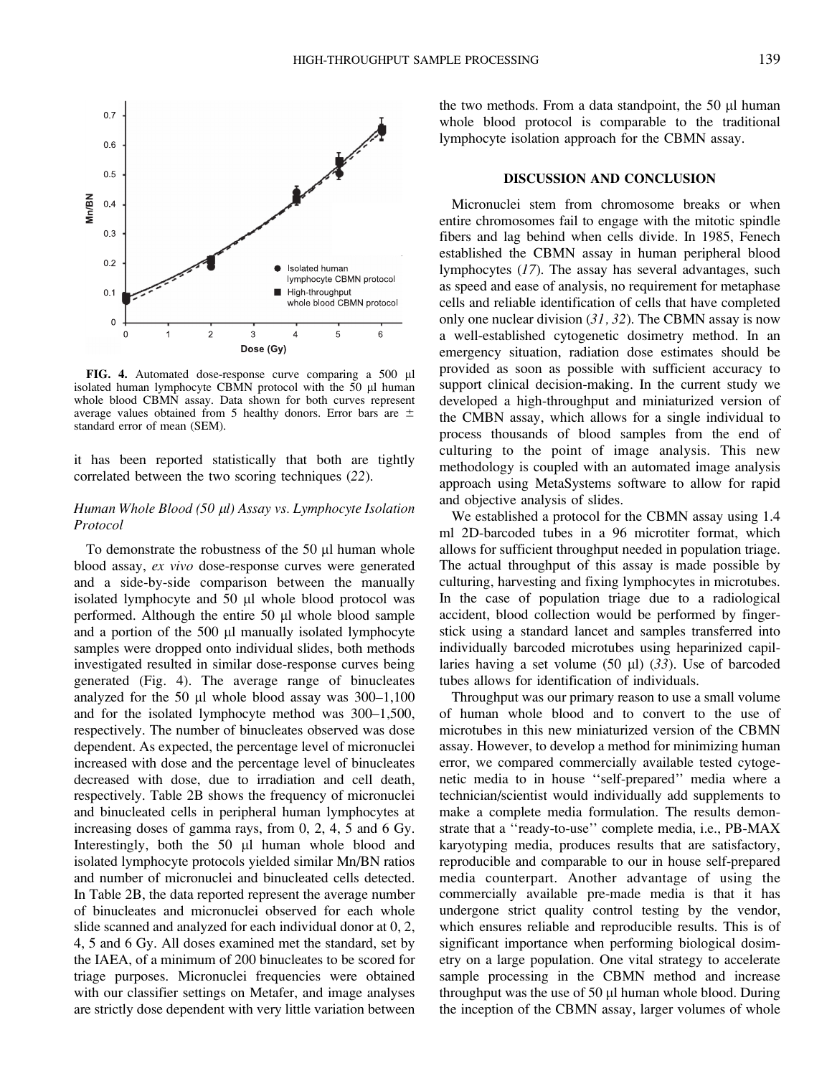

 $0.2$ **Isolated human** lymphocyte CBMN protocol High-throughput  $0.1$ whole blood CBMN protocol  $\overline{0}$  $\mathfrak{p}$ 3  $\overline{4}$  $\overline{6}$  $\Omega$ 5 Dose (Gy)

 $0.7$ 

 $0.6$ 

 $0.5$ 

 $0.3$ 

 $Mn/BN$  $0.4$ 

FIG. 4. Automated dose-response curve comparing a 500 µl isolated human lymphocyte CBMN protocol with the  $50$  µl human whole blood CBMN assay. Data shown for both curves represent average values obtained from 5 healthy donors. Error bars are  $\pm$ standard error of mean (SEM).

it has been reported statistically that both are tightly correlated between the two scoring techniques (22).

# Human Whole Blood (50 µl) Assay vs. Lymphocyte Isolation Protocol

To demonstrate the robustness of the  $50 \mu l$  human whole blood assay, ex vivo dose-response curves were generated and a side-by-side comparison between the manually isolated lymphocyte and  $50 \mu l$  whole blood protocol was performed. Although the entire 50 µl whole blood sample and a portion of the  $500 \mu l$  manually isolated lymphocyte samples were dropped onto individual slides, both methods investigated resulted in similar dose-response curves being generated (Fig. 4). The average range of binucleates analyzed for the 50  $\mu$ l whole blood assay was 300–1,100 and for the isolated lymphocyte method was 300–1,500, respectively. The number of binucleates observed was dose dependent. As expected, the percentage level of micronuclei increased with dose and the percentage level of binucleates decreased with dose, due to irradiation and cell death, respectively. Table 2B shows the frequency of micronuclei and binucleated cells in peripheral human lymphocytes at increasing doses of gamma rays, from 0, 2, 4, 5 and 6 Gy. Interestingly, both the 50 µl human whole blood and isolated lymphocyte protocols yielded similar Mn/BN ratios and number of micronuclei and binucleated cells detected. In Table 2B, the data reported represent the average number of binucleates and micronuclei observed for each whole slide scanned and analyzed for each individual donor at 0, 2, 4, 5 and 6 Gy. All doses examined met the standard, set by the IAEA, of a minimum of 200 binucleates to be scored for triage purposes. Micronuclei frequencies were obtained with our classifier settings on Metafer, and image analyses are strictly dose dependent with very little variation between

the two methods. From a data standpoint, the  $50 \mu l$  human whole blood protocol is comparable to the traditional lymphocyte isolation approach for the CBMN assay.

# DISCUSSION AND CONCLUSION

Micronuclei stem from chromosome breaks or when entire chromosomes fail to engage with the mitotic spindle fibers and lag behind when cells divide. In 1985, Fenech established the CBMN assay in human peripheral blood lymphocytes (17). The assay has several advantages, such as speed and ease of analysis, no requirement for metaphase cells and reliable identification of cells that have completed only one nuclear division (31, 32). The CBMN assay is now a well-established cytogenetic dosimetry method. In an emergency situation, radiation dose estimates should be provided as soon as possible with sufficient accuracy to support clinical decision-making. In the current study we developed a high-throughput and miniaturized version of the CMBN assay, which allows for a single individual to process thousands of blood samples from the end of culturing to the point of image analysis. This new methodology is coupled with an automated image analysis approach using MetaSystems software to allow for rapid and objective analysis of slides.

We established a protocol for the CBMN assay using 1.4 ml 2D-barcoded tubes in a 96 microtiter format, which allows for sufficient throughput needed in population triage. The actual throughput of this assay is made possible by culturing, harvesting and fixing lymphocytes in microtubes. In the case of population triage due to a radiological accident, blood collection would be performed by fingerstick using a standard lancet and samples transferred into individually barcoded microtubes using heparinized capillaries having a set volume  $(50 \text{ µl})$   $(33)$ . Use of barcoded tubes allows for identification of individuals.

Throughput was our primary reason to use a small volume of human whole blood and to convert to the use of microtubes in this new miniaturized version of the CBMN assay. However, to develop a method for minimizing human error, we compared commercially available tested cytogenetic media to in house ''self-prepared'' media where a technician/scientist would individually add supplements to make a complete media formulation. The results demonstrate that a ''ready-to-use'' complete media, i.e., PB-MAX karyotyping media, produces results that are satisfactory, reproducible and comparable to our in house self-prepared media counterpart. Another advantage of using the commercially available pre-made media is that it has undergone strict quality control testing by the vendor, which ensures reliable and reproducible results. This is of significant importance when performing biological dosimetry on a large population. One vital strategy to accelerate sample processing in the CBMN method and increase throughput was the use of 50 µl human whole blood. During the inception of the CBMN assay, larger volumes of whole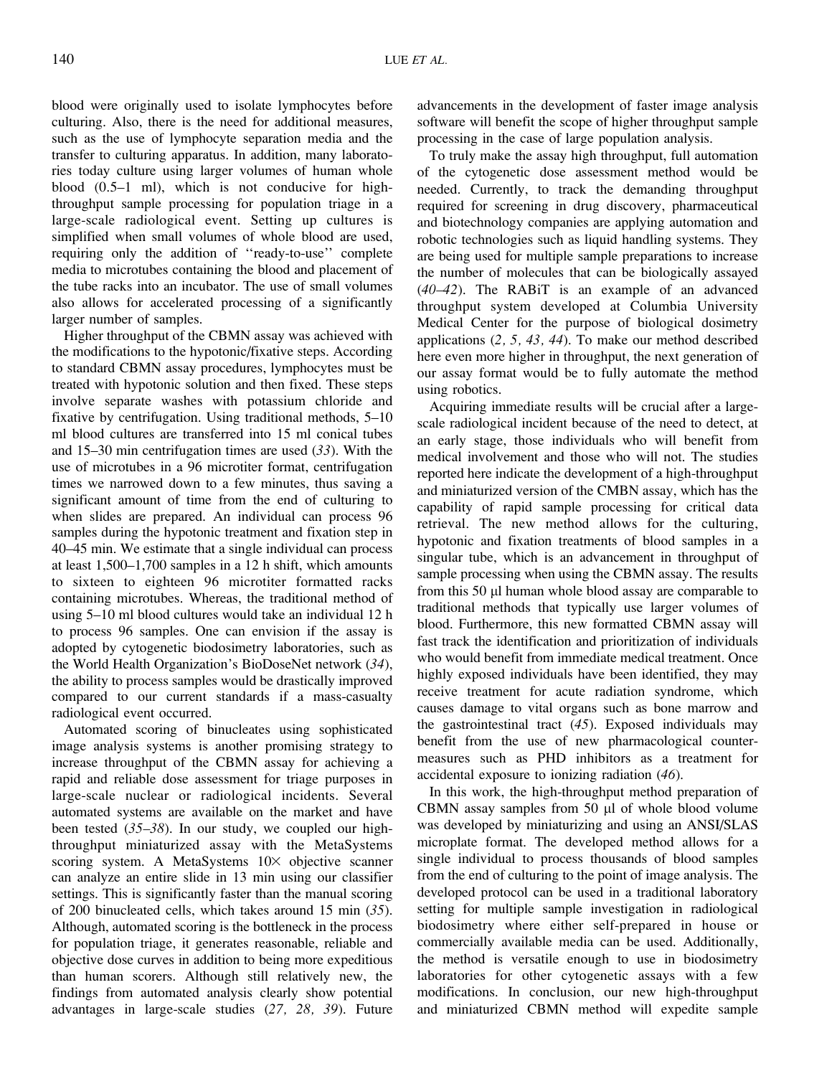blood were originally used to isolate lymphocytes before culturing. Also, there is the need for additional measures, such as the use of lymphocyte separation media and the transfer to culturing apparatus. In addition, many laboratories today culture using larger volumes of human whole blood (0.5–1 ml), which is not conducive for highthroughput sample processing for population triage in a large-scale radiological event. Setting up cultures is simplified when small volumes of whole blood are used, requiring only the addition of ''ready-to-use'' complete media to microtubes containing the blood and placement of the tube racks into an incubator. The use of small volumes also allows for accelerated processing of a significantly larger number of samples.

Higher throughput of the CBMN assay was achieved with the modifications to the hypotonic/fixative steps. According to standard CBMN assay procedures, lymphocytes must be treated with hypotonic solution and then fixed. These steps involve separate washes with potassium chloride and fixative by centrifugation. Using traditional methods, 5–10 ml blood cultures are transferred into 15 ml conical tubes and 15–30 min centrifugation times are used (33). With the use of microtubes in a 96 microtiter format, centrifugation times we narrowed down to a few minutes, thus saving a significant amount of time from the end of culturing to when slides are prepared. An individual can process 96 samples during the hypotonic treatment and fixation step in 40–45 min. We estimate that a single individual can process at least 1,500–1,700 samples in a 12 h shift, which amounts to sixteen to eighteen 96 microtiter formatted racks containing microtubes. Whereas, the traditional method of using 5–10 ml blood cultures would take an individual 12 h to process 96 samples. One can envision if the assay is adopted by cytogenetic biodosimetry laboratories, such as the World Health Organization's BioDoseNet network (34), the ability to process samples would be drastically improved compared to our current standards if a mass-casualty radiological event occurred.

Automated scoring of binucleates using sophisticated image analysis systems is another promising strategy to increase throughput of the CBMN assay for achieving a rapid and reliable dose assessment for triage purposes in large-scale nuclear or radiological incidents. Several automated systems are available on the market and have been tested  $(35-38)$ . In our study, we coupled our highthroughput miniaturized assay with the MetaSystems scoring system. A MetaSystems  $10\times$  objective scanner can analyze an entire slide in 13 min using our classifier settings. This is significantly faster than the manual scoring of 200 binucleated cells, which takes around 15 min (35). Although, automated scoring is the bottleneck in the process for population triage, it generates reasonable, reliable and objective dose curves in addition to being more expeditious than human scorers. Although still relatively new, the findings from automated analysis clearly show potential advantages in large-scale studies (27, 28, 39). Future advancements in the development of faster image analysis software will benefit the scope of higher throughput sample processing in the case of large population analysis.

To truly make the assay high throughput, full automation of the cytogenetic dose assessment method would be needed. Currently, to track the demanding throughput required for screening in drug discovery, pharmaceutical and biotechnology companies are applying automation and robotic technologies such as liquid handling systems. They are being used for multiple sample preparations to increase the number of molecules that can be biologically assayed (40–42). The RABiT is an example of an advanced throughput system developed at Columbia University Medical Center for the purpose of biological dosimetry applications (2, 5, 43, 44). To make our method described here even more higher in throughput, the next generation of our assay format would be to fully automate the method using robotics.

Acquiring immediate results will be crucial after a largescale radiological incident because of the need to detect, at an early stage, those individuals who will benefit from medical involvement and those who will not. The studies reported here indicate the development of a high-throughput and miniaturized version of the CMBN assay, which has the capability of rapid sample processing for critical data retrieval. The new method allows for the culturing, hypotonic and fixation treatments of blood samples in a singular tube, which is an advancement in throughput of sample processing when using the CBMN assay. The results from this 50 µl human whole blood assay are comparable to traditional methods that typically use larger volumes of blood. Furthermore, this new formatted CBMN assay will fast track the identification and prioritization of individuals who would benefit from immediate medical treatment. Once highly exposed individuals have been identified, they may receive treatment for acute radiation syndrome, which causes damage to vital organs such as bone marrow and the gastrointestinal tract (45). Exposed individuals may benefit from the use of new pharmacological countermeasures such as PHD inhibitors as a treatment for accidental exposure to ionizing radiation (46).

In this work, the high-throughput method preparation of CBMN assay samples from  $50 \mu l$  of whole blood volume was developed by miniaturizing and using an ANSI/SLAS microplate format. The developed method allows for a single individual to process thousands of blood samples from the end of culturing to the point of image analysis. The developed protocol can be used in a traditional laboratory setting for multiple sample investigation in radiological biodosimetry where either self-prepared in house or commercially available media can be used. Additionally, the method is versatile enough to use in biodosimetry laboratories for other cytogenetic assays with a few modifications. In conclusion, our new high-throughput and miniaturized CBMN method will expedite sample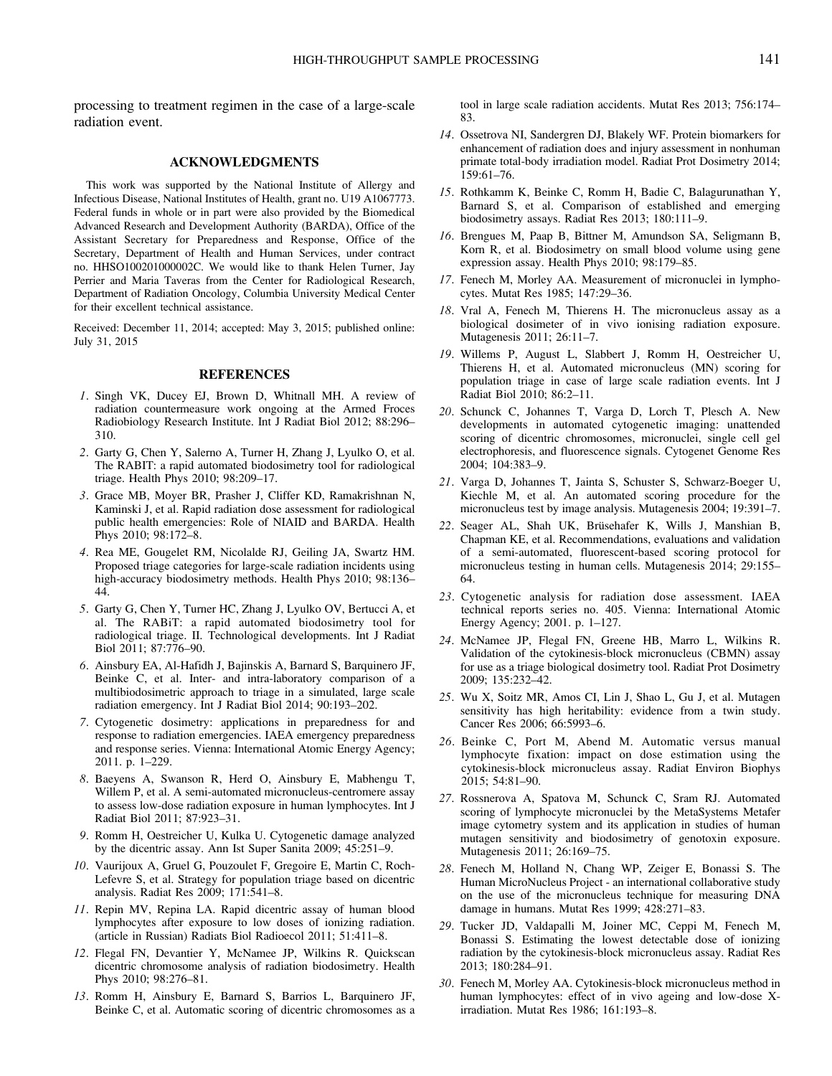# ACKNOWLEDGMENTS

This work was supported by the National Institute of Allergy and Infectious Disease, National Institutes of Health, grant no. U19 A1067773. Federal funds in whole or in part were also provided by the Biomedical Advanced Research and Development Authority (BARDA), Office of the Assistant Secretary for Preparedness and Response, Office of the Secretary, Department of Health and Human Services, under contract no. HHSO100201000002C. We would like to thank Helen Turner, Jay Perrier and Maria Taveras from the Center for Radiological Research, Department of Radiation Oncology, Columbia University Medical Center for their excellent technical assistance.

Received: December 11, 2014; accepted: May 3, 2015; published online: July 31, 2015

# REFERENCES

- 1. Singh VK, Ducey EJ, Brown D, Whitnall MH. A review of radiation countermeasure work ongoing at the Armed Froces Radiobiology Research Institute. Int J Radiat Biol 2012; 88:296– 310.
- 2. Garty G, Chen Y, Salerno A, Turner H, Zhang J, Lyulko O, et al. The RABIT: a rapid automated biodosimetry tool for radiological triage. Health Phys 2010; 98:209–17.
- 3. Grace MB, Moyer BR, Prasher J, Cliffer KD, Ramakrishnan N, Kaminski J, et al. Rapid radiation dose assessment for radiological public health emergencies: Role of NIAID and BARDA. Health Phys 2010; 98:172–8.
- 4. Rea ME, Gougelet RM, Nicolalde RJ, Geiling JA, Swartz HM. Proposed triage categories for large-scale radiation incidents using high-accuracy biodosimetry methods. Health Phys 2010; 98:136– 44.
- 5. Garty G, Chen Y, Turner HC, Zhang J, Lyulko OV, Bertucci A, et al. The RABiT: a rapid automated biodosimetry tool for radiological triage. II. Technological developments. Int J Radiat Biol 2011; 87:776–90.
- 6. Ainsbury EA, Al-Hafidh J, Bajinskis A, Barnard S, Barquinero JF, Beinke C, et al. Inter- and intra-laboratory comparison of a multibiodosimetric approach to triage in a simulated, large scale radiation emergency. Int J Radiat Biol 2014; 90:193–202.
- 7. Cytogenetic dosimetry: applications in preparedness for and response to radiation emergencies. IAEA emergency preparedness and response series. Vienna: International Atomic Energy Agency; 2011. p. 1–229.
- 8. Baeyens A, Swanson R, Herd O, Ainsbury E, Mabhengu T, Willem P, et al. A semi-automated micronucleus-centromere assay to assess low-dose radiation exposure in human lymphocytes. Int J Radiat Biol 2011; 87:923–31.
- 9. Romm H, Oestreicher U, Kulka U. Cytogenetic damage analyzed by the dicentric assay. Ann Ist Super Sanita 2009; 45:251–9.
- 10. Vaurijoux A, Gruel G, Pouzoulet F, Gregoire E, Martin C, Roch-Lefevre S, et al. Strategy for population triage based on dicentric analysis. Radiat Res 2009; 171:541–8.
- 11. Repin MV, Repina LA. Rapid dicentric assay of human blood lymphocytes after exposure to low doses of ionizing radiation. (article in Russian) Radiats Biol Radioecol 2011; 51:411–8.
- 12. Flegal FN, Devantier Y, McNamee JP, Wilkins R. Quickscan dicentric chromosome analysis of radiation biodosimetry. Health Phys 2010; 98:276–81.
- 13. Romm H, Ainsbury E, Barnard S, Barrios L, Barquinero JF, Beinke C, et al. Automatic scoring of dicentric chromosomes as a

tool in large scale radiation accidents. Mutat Res 2013; 756:174– 83.

- 14. Ossetrova NI, Sandergren DJ, Blakely WF. Protein biomarkers for enhancement of radiation does and injury assessment in nonhuman primate total-body irradiation model. Radiat Prot Dosimetry 2014; 159:61–76.
- 15. Rothkamm K, Beinke C, Romm H, Badie C, Balagurunathan Y, Barnard S, et al. Comparison of established and emerging biodosimetry assays. Radiat Res 2013; 180:111–9.
- 16. Brengues M, Paap B, Bittner M, Amundson SA, Seligmann B, Korn R, et al. Biodosimetry on small blood volume using gene expression assay. Health Phys 2010; 98:179–85.
- 17. Fenech M, Morley AA. Measurement of micronuclei in lymphocytes. Mutat Res 1985; 147:29–36.
- 18. Vral A, Fenech M, Thierens H. The micronucleus assay as a biological dosimeter of in vivo ionising radiation exposure. Mutagenesis 2011; 26:11–7.
- 19. Willems P, August L, Slabbert J, Romm H, Oestreicher U, Thierens H, et al. Automated micronucleus (MN) scoring for population triage in case of large scale radiation events. Int J Radiat Biol 2010; 86:2–11.
- 20. Schunck C, Johannes T, Varga D, Lorch T, Plesch A. New developments in automated cytogenetic imaging: unattended scoring of dicentric chromosomes, micronuclei, single cell gel electrophoresis, and fluorescence signals. Cytogenet Genome Res 2004; 104:383–9.
- 21. Varga D, Johannes T, Jainta S, Schuster S, Schwarz-Boeger U, Kiechle M, et al. An automated scoring procedure for the micronucleus test by image analysis. Mutagenesis 2004; 19:391–7.
- 22. Seager AL, Shah UK, Brüsehafer K, Wills J, Manshian B, Chapman KE, et al. Recommendations, evaluations and validation of a semi-automated, fluorescent-based scoring protocol for micronucleus testing in human cells. Mutagenesis 2014; 29:155– 64.
- 23. Cytogenetic analysis for radiation dose assessment. IAEA technical reports series no. 405. Vienna: International Atomic Energy Agency; 2001. p. 1–127.
- 24. McNamee JP, Flegal FN, Greene HB, Marro L, Wilkins R. Validation of the cytokinesis-block micronucleus (CBMN) assay for use as a triage biological dosimetry tool. Radiat Prot Dosimetry 2009; 135:232–42.
- 25. Wu X, Soitz MR, Amos CI, Lin J, Shao L, Gu J, et al. Mutagen sensitivity has high heritability: evidence from a twin study. Cancer Res 2006; 66:5993–6.
- 26. Beinke C, Port M, Abend M. Automatic versus manual lymphocyte fixation: impact on dose estimation using the cytokinesis-block micronucleus assay. Radiat Environ Biophys 2015; 54:81–90.
- 27. Rossnerova A, Spatova M, Schunck C, Sram RJ. Automated scoring of lymphocyte micronuclei by the MetaSystems Metafer image cytometry system and its application in studies of human mutagen sensitivity and biodosimetry of genotoxin exposure. Mutagenesis 2011; 26:169–75.
- 28. Fenech M, Holland N, Chang WP, Zeiger E, Bonassi S. The Human MicroNucleus Project - an international collaborative study on the use of the micronucleus technique for measuring DNA damage in humans. Mutat Res 1999; 428:271–83.
- 29. Tucker JD, Valdapalli M, Joiner MC, Ceppi M, Fenech M, Bonassi S. Estimating the lowest detectable dose of ionizing radiation by the cytokinesis-block micronucleus assay. Radiat Res 2013; 180:284–91.
- 30. Fenech M, Morley AA. Cytokinesis-block micronucleus method in human lymphocytes: effect of in vivo ageing and low-dose Xirradiation. Mutat Res 1986; 161:193–8.